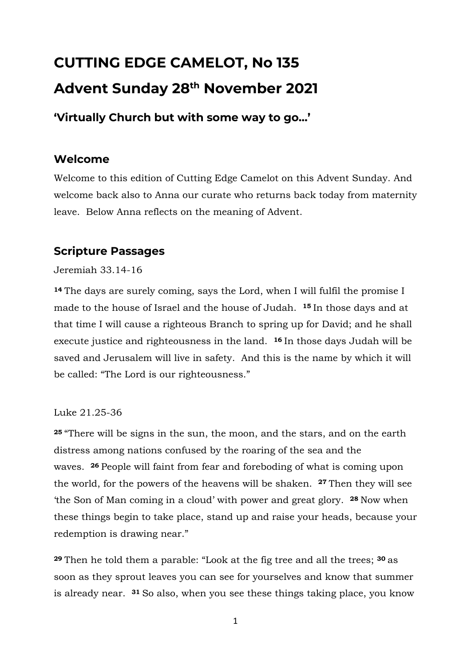# **CUTTING EDGE CAMELOT, No 135 Advent Sunday 28 th November 2021**

**'Virtually Church but with some way to go…'**

## **Welcome**

Welcome to this edition of Cutting Edge Camelot on this Advent Sunday. And welcome back also to Anna our curate who returns back today from maternity leave. Below Anna reflects on the meaning of Advent.

### **Scripture Passages**

#### Jeremiah 33.14-16

**<sup>14</sup>** The days are surely coming, says the Lord, when I will fulfil the promise I made to the house of Israel and the house of Judah. **<sup>15</sup>** In those days and at that time I will cause a righteous Branch to spring up for David; and he shall execute justice and righteousness in the land. **<sup>16</sup>** In those days Judah will be saved and Jerusalem will live in safety. And this is the name by which it will be called: "The Lord is our righteousness."

#### Luke 21.25-36

**<sup>25</sup>** "There will be signs in the sun, the moon, and the stars, and on the earth distress among nations confused by the roaring of the sea and the waves. **<sup>26</sup>** People will faint from fear and foreboding of what is coming upon the world, for the powers of the heavens will be shaken. **<sup>27</sup>** Then they will see 'the Son of Man coming in a cloud' with power and great glory. **<sup>28</sup>** Now when these things begin to take place, stand up and raise your heads, because your redemption is drawing near."

**<sup>29</sup>** Then he told them a parable: "Look at the fig tree and all the trees; **<sup>30</sup>** as soon as they sprout leaves you can see for yourselves and know that summer is already near. **<sup>31</sup>** So also, when you see these things taking place, you know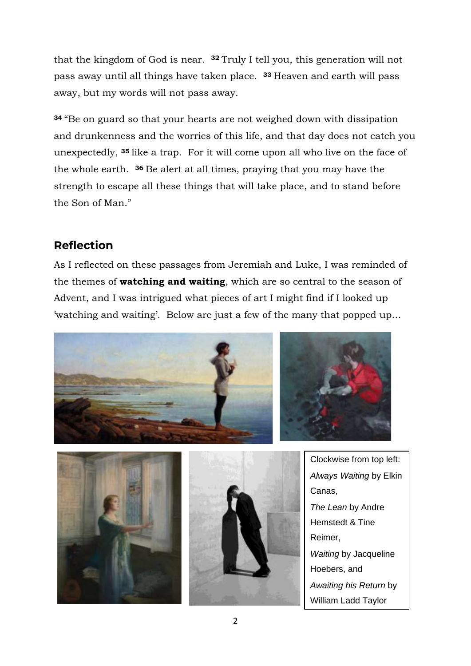that the kingdom of God is near. **<sup>32</sup>** Truly I tell you, this generation will not pass away until all things have taken place. **<sup>33</sup>** Heaven and earth will pass away, but my words will not pass away.

**<sup>34</sup>** "Be on guard so that your hearts are not weighed down with dissipation and drunkenness and the worries of this life, and that day does not catch you unexpectedly, **<sup>35</sup>** like a trap. For it will come upon all who live on the face of the whole earth. **<sup>36</sup>** Be alert at all times, praying that you may have the strength to escape all these things that will take place, and to stand before the Son of Man."

# **Reflection**

As I reflected on these passages from Jeremiah and Luke, I was reminded of the themes of **watching and waiting**, which are so central to the season of Advent, and I was intrigued what pieces of art I might find if I looked up 'watching and waiting'. Below are just a few of the many that popped up…







Clockwise from top left: *Always Waiting* by Elkin Canas, *The Lean* by Andre Hemstedt & Tine Reimer, *Waiting* by Jacqueline Hoebers, and *Awaiting his Return* by William Ladd Taylor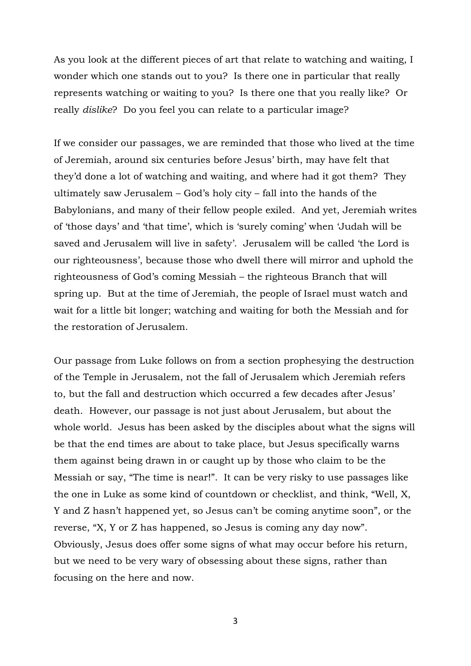As you look at the different pieces of art that relate to watching and waiting, I wonder which one stands out to you? Is there one in particular that really represents watching or waiting to you? Is there one that you really like? Or really *dislike*? Do you feel you can relate to a particular image?

If we consider our passages, we are reminded that those who lived at the time of Jeremiah, around six centuries before Jesus' birth, may have felt that they'd done a lot of watching and waiting, and where had it got them? They ultimately saw Jerusalem – God's holy city – fall into the hands of the Babylonians, and many of their fellow people exiled. And yet, Jeremiah writes of 'those days' and 'that time', which is 'surely coming' when 'Judah will be saved and Jerusalem will live in safety'. Jerusalem will be called 'the Lord is our righteousness', because those who dwell there will mirror and uphold the righteousness of God's coming Messiah – the righteous Branch that will spring up. But at the time of Jeremiah, the people of Israel must watch and wait for a little bit longer; watching and waiting for both the Messiah and for the restoration of Jerusalem.

Our passage from Luke follows on from a section prophesying the destruction of the Temple in Jerusalem, not the fall of Jerusalem which Jeremiah refers to, but the fall and destruction which occurred a few decades after Jesus' death. However, our passage is not just about Jerusalem, but about the whole world. Jesus has been asked by the disciples about what the signs will be that the end times are about to take place, but Jesus specifically warns them against being drawn in or caught up by those who claim to be the Messiah or say, "The time is near!". It can be very risky to use passages like the one in Luke as some kind of countdown or checklist, and think, "Well, X, Y and Z hasn't happened yet, so Jesus can't be coming anytime soon", or the reverse, "X, Y or Z has happened, so Jesus is coming any day now". Obviously, Jesus does offer some signs of what may occur before his return, but we need to be very wary of obsessing about these signs, rather than focusing on the here and now.

3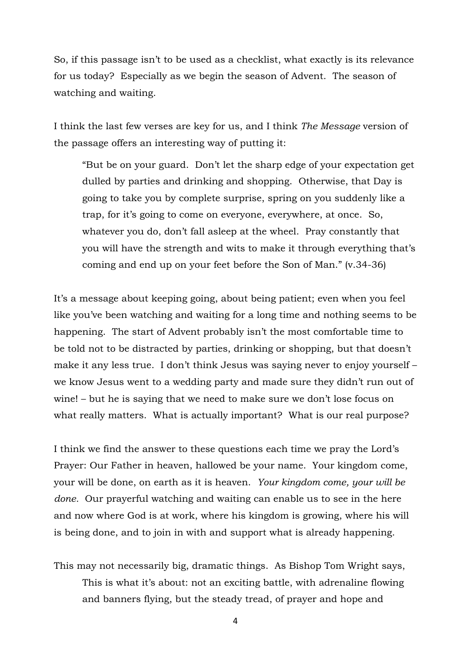So, if this passage isn't to be used as a checklist, what exactly is its relevance for us today? Especially as we begin the season of Advent. The season of watching and waiting.

I think the last few verses are key for us, and I think *The Message* version of the passage offers an interesting way of putting it:

"But be on your guard. Don't let the sharp edge of your expectation get dulled by parties and drinking and shopping. Otherwise, that Day is going to take you by complete surprise, spring on you suddenly like a trap, for it's going to come on everyone, everywhere, at once. So, whatever you do, don't fall asleep at the wheel. Pray constantly that you will have the strength and wits to make it through everything that's coming and end up on your feet before the Son of Man." (v.34-36)

It's a message about keeping going, about being patient; even when you feel like you've been watching and waiting for a long time and nothing seems to be happening. The start of Advent probably isn't the most comfortable time to be told not to be distracted by parties, drinking or shopping, but that doesn't make it any less true. I don't think Jesus was saying never to enjoy yourself – we know Jesus went to a wedding party and made sure they didn't run out of wine! – but he is saying that we need to make sure we don't lose focus on what really matters. What is actually important? What is our real purpose?

I think we find the answer to these questions each time we pray the Lord's Prayer: Our Father in heaven, hallowed be your name. Your kingdom come, your will be done, on earth as it is heaven. *Your kingdom come, your will be done.* Our prayerful watching and waiting can enable us to see in the here and now where God is at work, where his kingdom is growing, where his will is being done, and to join in with and support what is already happening.

This may not necessarily big, dramatic things. As Bishop Tom Wright says, This is what it's about: not an exciting battle, with adrenaline flowing and banners flying, but the steady tread, of prayer and hope and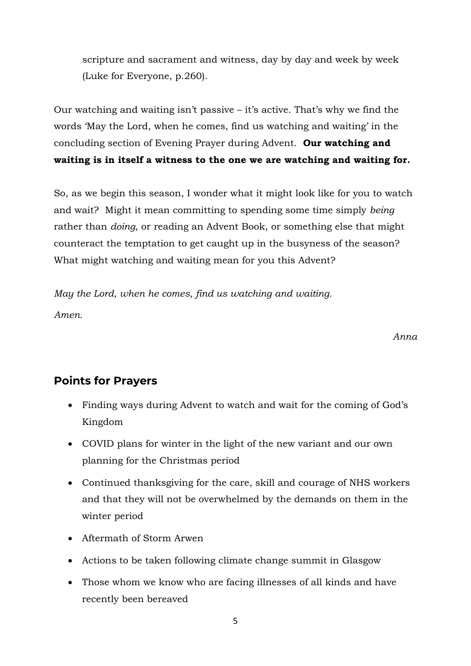scripture and sacrament and witness, day by day and week by week (Luke for Everyone, p.260).

Our watching and waiting isn't passive – it's active. That's why we find the words 'May the Lord, when he comes, find us watching and waiting' in the concluding section of Evening Prayer during Advent. **Our watching and waiting is in itself a witness to the one we are watching and waiting for.**

So, as we begin this season, I wonder what it might look like for you to watch and wait? Might it mean committing to spending some time simply *being* rather than *doing*, or reading an Advent Book, or something else that might counteract the temptation to get caught up in the busyness of the season? What might watching and waiting mean for you this Advent?

*May the Lord, when he comes, find us watching and waiting. Amen.*

*Anna*

# **Points for Prayers**

- Finding ways during Advent to watch and wait for the coming of God's Kingdom
- COVID plans for winter in the light of the new variant and our own planning for the Christmas period
- Continued thanksgiving for the care, skill and courage of NHS workers and that they will not be overwhelmed by the demands on them in the winter period
- Aftermath of Storm Arwen
- Actions to be taken following climate change summit in Glasgow
- Those whom we know who are facing illnesses of all kinds and have recently been bereaved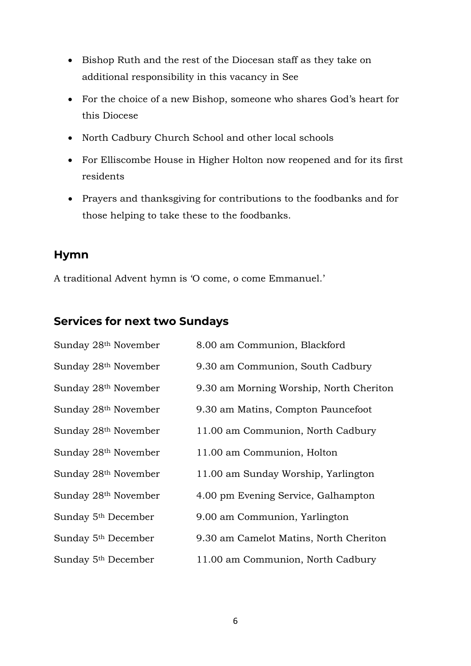- Bishop Ruth and the rest of the Diocesan staff as they take on additional responsibility in this vacancy in See
- For the choice of a new Bishop, someone who shares God's heart for this Diocese
- North Cadbury Church School and other local schools
- For Elliscombe House in Higher Holton now reopened and for its first residents
- Prayers and thanksgiving for contributions to the foodbanks and for those helping to take these to the foodbanks.

#### **Hymn**

A traditional Advent hymn is 'O come, o come Emmanuel.'

# **Services for next two Sundays**

| Sunday 28 <sup>th</sup> November | 8.00 am Communion, Blackford            |
|----------------------------------|-----------------------------------------|
| Sunday 28 <sup>th</sup> November | 9.30 am Communion, South Cadbury        |
| Sunday 28 <sup>th</sup> November | 9.30 am Morning Worship, North Cheriton |
| Sunday 28 <sup>th</sup> November | 9.30 am Matins, Compton Pauncefoot      |
| Sunday 28 <sup>th</sup> November | 11.00 am Communion, North Cadbury       |
| Sunday 28 <sup>th</sup> November | 11.00 am Communion, Holton              |
| Sunday 28th November             | 11.00 am Sunday Worship, Yarlington     |
| Sunday 28 <sup>th</sup> November | 4.00 pm Evening Service, Galhampton     |
| Sunday 5 <sup>th</sup> December  | 9.00 am Communion, Yarlington           |
| Sunday 5 <sup>th</sup> December  | 9.30 am Camelot Matins, North Cheriton  |
| Sunday 5 <sup>th</sup> December  | 11.00 am Communion, North Cadbury       |